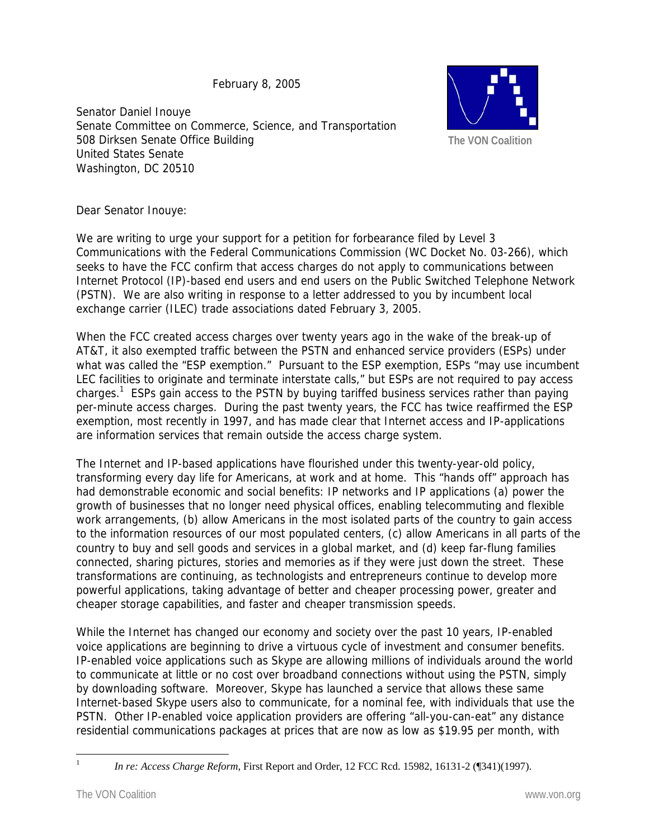February 8, 2005

Senator Daniel Inouye Senate Committee on Commerce, Science, and Transportation 508 Dirksen Senate Office Building United States Senate Washington, DC 20510



Dear Senator Inouye:

We are writing to urge your support for a petition for forbearance filed by Level 3 Communications with the Federal Communications Commission (WC Docket No. 03-266), which seeks to have the FCC confirm that access charges do not apply to communications between Internet Protocol (IP)-based end users and end users on the Public Switched Telephone Network (PSTN). We are also writing in response to a letter addressed to you by incumbent local exchange carrier (ILEC) trade associations dated February 3, 2005.

When the FCC created access charges over twenty years ago in the wake of the break-up of AT&T, it also exempted traffic between the PSTN and enhanced service providers (ESPs) under what was called the "ESP exemption." Pursuant to the ESP exemption, ESPs "may use incumbent LEC facilities to originate and terminate interstate calls," but ESPs are not required to pay access charges.<sup>1</sup> ESPs gain access to the PSTN by buying tariffed business services rather than paying per-minute access charges. During the past twenty years, the FCC has twice reaffirmed the ESP exemption, most recently in 1997, and has made clear that Internet access and IP-applications are information services that remain outside the access charge system.

The Internet and IP-based applications have flourished under this twenty-year-old policy, transforming every day life for Americans, at work and at home. This "hands off" approach has had demonstrable economic and social benefits: IP networks and IP applications (a) power the growth of businesses that no longer need physical offices, enabling telecommuting and flexible work arrangements, (b) allow Americans in the most isolated parts of the country to gain access to the information resources of our most populated centers, (c) allow Americans in all parts of the country to buy and sell goods and services in a global market, and (d) keep far-flung families connected, sharing pictures, stories and memories as if they were just down the street. These transformations are continuing, as technologists and entrepreneurs continue to develop more powerful applications, taking advantage of better and cheaper processing power, greater and cheaper storage capabilities, and faster and cheaper transmission speeds.

While the Internet has changed our economy and society over the past 10 years, IP-enabled voice applications are beginning to drive a virtuous cycle of investment and consumer benefits. IP-enabled voice applications such as Skype are allowing millions of individuals around the world to communicate at little or no cost over broadband connections without using the PSTN, simply by downloading software. Moreover, Skype has launched a service that allows these same Internet-based Skype users also to communicate, for a nominal fee, with individuals that use the PSTN. Other IP-enabled voice application providers are offering "all-you-can-eat" any distance residential communications packages at prices that are now as low as \$19.95 per month, with

 $\frac{1}{1}$ 

*In re: Access Charge Reform*, First Report and Order, 12 FCC Rcd. 15982, 16131-2 (¶341)(1997).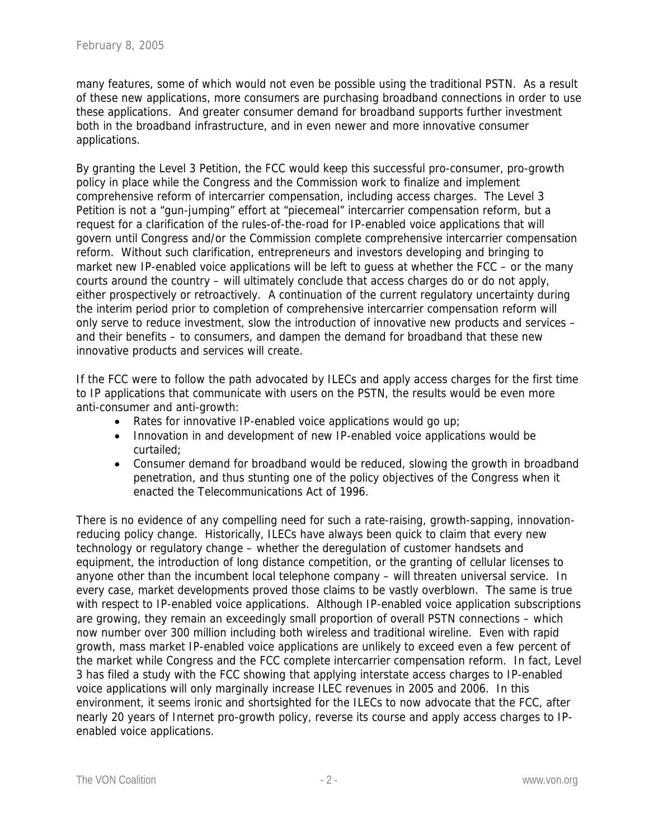many features, some of which would not even be possible using the traditional PSTN. As a result of these new applications, more consumers are purchasing broadband connections in order to use these applications. And greater consumer demand for broadband supports further investment both in the broadband infrastructure, and in even newer and more innovative consumer applications.

By granting the Level 3 Petition, the FCC would keep this successful pro-consumer, pro-growth policy in place while the Congress and the Commission work to finalize and implement comprehensive reform of intercarrier compensation, including access charges. The Level 3 Petition is not a "gun-jumping" effort at "piecemeal" intercarrier compensation reform, but a request for a clarification of the rules-of-the-road for IP-enabled voice applications that will govern until Congress and/or the Commission complete comprehensive intercarrier compensation reform. Without such clarification, entrepreneurs and investors developing and bringing to market new IP-enabled voice applications will be left to guess at whether the FCC – or the many courts around the country – will ultimately conclude that access charges do or do not apply, either prospectively or retroactively. A continuation of the current regulatory uncertainty during the interim period prior to completion of comprehensive intercarrier compensation reform will only serve to reduce investment, slow the introduction of innovative new products and services – and their benefits – to consumers, and dampen the demand for broadband that these new innovative products and services will create.

If the FCC were to follow the path advocated by ILECs and apply access charges for the first time to IP applications that communicate with users on the PSTN, the results would be even more anti-consumer and anti-growth:

- Rates for innovative IP-enabled voice applications would go up;
- Innovation in and development of new IP-enabled voice applications would be curtailed;
- Consumer demand for broadband would be reduced, slowing the growth in broadband penetration, and thus stunting one of the policy objectives of the Congress when it enacted the Telecommunications Act of 1996.

There is no evidence of any compelling need for such a rate-raising, growth-sapping, innovationreducing policy change. Historically, ILECs have always been quick to claim that every new technology or regulatory change – whether the deregulation of customer handsets and equipment, the introduction of long distance competition, or the granting of cellular licenses to anyone other than the incumbent local telephone company – will threaten universal service. In every case, market developments proved those claims to be vastly overblown. The same is true with respect to IP-enabled voice applications. Although IP-enabled voice application subscriptions are growing, they remain an exceedingly small proportion of overall PSTN connections – which now number over 300 million including both wireless and traditional wireline. Even with rapid growth, mass market IP-enabled voice applications are unlikely to exceed even a few percent of the market while Congress and the FCC complete intercarrier compensation reform. In fact, Level 3 has filed a study with the FCC showing that applying interstate access charges to IP-enabled voice applications will only marginally increase ILEC revenues in 2005 and 2006. In this environment, it seems ironic and shortsighted for the ILECs to now advocate that the FCC, after nearly 20 years of Internet pro-growth policy, reverse its course and apply access charges to IPenabled voice applications.